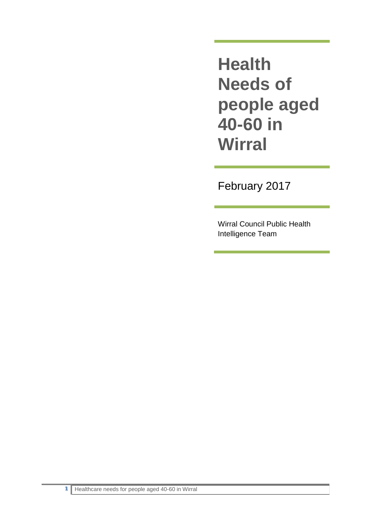**Health Needs of people aged 40-60 in Wirral**

February 2017

Wirral Council Public Health Intelligence Team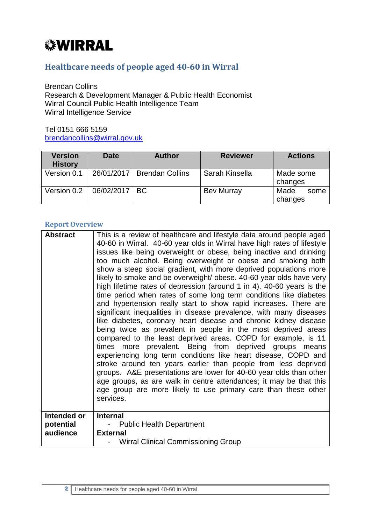# *<b><i>WIRRAL*

# **Healthcare needs of people aged 40-60 in Wirral**

Brendan Collins Research & Development Manager & Public Health Economist Wirral Council Public Health Intelligence Team Wirral Intelligence Service

Tel 0151 666 5159 [brendancollins@wirral.gov.uk](mailto:brendancollins@wirral.gov.uk)

| <b>Version</b><br><b>History</b> | <b>Date</b> | <b>Author</b>          | <b>Reviewer</b>   | <b>Actions</b>          |
|----------------------------------|-------------|------------------------|-------------------|-------------------------|
| Version 0.1                      | 26/01/2017  | <b>Brendan Collins</b> | Sarah Kinsella    | Made some<br>changes    |
| Version 0.2                      | 06/02/2017  | BC.                    | <b>Bev Murray</b> | Made<br>some<br>changes |

#### **Report Overview**

| <b>Abstract</b>                      | This is a review of healthcare and lifestyle data around people aged<br>40-60 in Wirral. 40-60 year olds in Wirral have high rates of lifestyle<br>issues like being overweight or obese, being inactive and drinking<br>too much alcohol. Being overweight or obese and smoking both<br>show a steep social gradient, with more deprived populations more<br>likely to smoke and be overweight/ obese. 40-60 year olds have very<br>high lifetime rates of depression (around 1 in 4). 40-60 years is the<br>time period when rates of some long term conditions like diabetes<br>and hypertension really start to show rapid increases. There are<br>significant inequalities in disease prevalence, with many diseases<br>like diabetes, coronary heart disease and chronic kidney disease<br>being twice as prevalent in people in the most deprived areas<br>compared to the least deprived areas. COPD for example, is 11<br>times more prevalent. Being from deprived groups means<br>experiencing long term conditions like heart disease, COPD and<br>stroke around ten years earlier than people from less deprived<br>groups. A&E presentations are lower for 40-60 year olds than other<br>age groups, as are walk in centre attendances; it may be that this<br>age group are more likely to use primary care than these other<br>services. |
|--------------------------------------|----------------------------------------------------------------------------------------------------------------------------------------------------------------------------------------------------------------------------------------------------------------------------------------------------------------------------------------------------------------------------------------------------------------------------------------------------------------------------------------------------------------------------------------------------------------------------------------------------------------------------------------------------------------------------------------------------------------------------------------------------------------------------------------------------------------------------------------------------------------------------------------------------------------------------------------------------------------------------------------------------------------------------------------------------------------------------------------------------------------------------------------------------------------------------------------------------------------------------------------------------------------------------------------------------------------------------------------------------------|
| Intended or<br>potential<br>audience | <b>Internal</b><br><b>Public Health Department</b><br><b>External</b><br><b>Wirral Clinical Commissioning Group</b>                                                                                                                                                                                                                                                                                                                                                                                                                                                                                                                                                                                                                                                                                                                                                                                                                                                                                                                                                                                                                                                                                                                                                                                                                                      |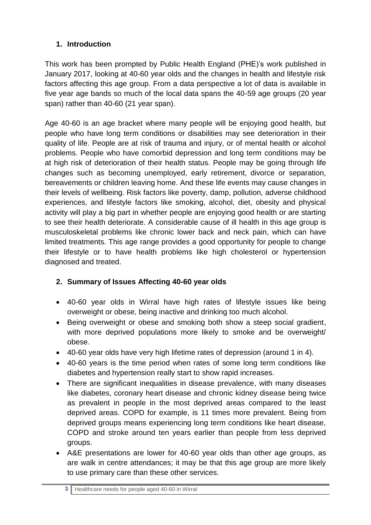# **1. Introduction**

This work has been prompted by Public Health England (PHE)'s work published in January 2017, looking at 40-60 year olds and the changes in health and lifestyle risk factors affecting this age group. From a data perspective a lot of data is available in five year age bands so much of the local data spans the 40-59 age groups (20 year span) rather than 40-60 (21 year span).

Age 40-60 is an age bracket where many people will be enjoying good health, but people who have long term conditions or disabilities may see deterioration in their quality of life. People are at risk of trauma and injury, or of mental health or alcohol problems. People who have comorbid depression and long term conditions may be at high risk of deterioration of their health status. People may be going through life changes such as becoming unemployed, early retirement, divorce or separation, bereavements or children leaving home. And these life events may cause changes in their levels of wellbeing. Risk factors like poverty, damp, pollution, adverse childhood experiences, and lifestyle factors like smoking, alcohol, diet, obesity and physical activity will play a big part in whether people are enjoying good health or are starting to see their health deteriorate. A considerable cause of ill health in this age group is musculoskeletal problems like chronic lower back and neck pain, which can have limited treatments. This age range provides a good opportunity for people to change their lifestyle or to have health problems like high cholesterol or hypertension diagnosed and treated.

## **2. Summary of Issues Affecting 40-60 year olds**

- 40-60 year olds in Wirral have high rates of lifestyle issues like being overweight or obese, being inactive and drinking too much alcohol.
- Being overweight or obese and smoking both show a steep social gradient, with more deprived populations more likely to smoke and be overweight/ obese.
- 40-60 year olds have very high lifetime rates of depression (around 1 in 4).
- 40-60 years is the time period when rates of some long term conditions like diabetes and hypertension really start to show rapid increases.
- There are significant inequalities in disease prevalence, with many diseases like diabetes, coronary heart disease and chronic kidney disease being twice as prevalent in people in the most deprived areas compared to the least deprived areas. COPD for example, is 11 times more prevalent. Being from deprived groups means experiencing long term conditions like heart disease, COPD and stroke around ten years earlier than people from less deprived groups.
- A&E presentations are lower for 40-60 year olds than other age groups, as are walk in centre attendances; it may be that this age group are more likely to use primary care than these other services.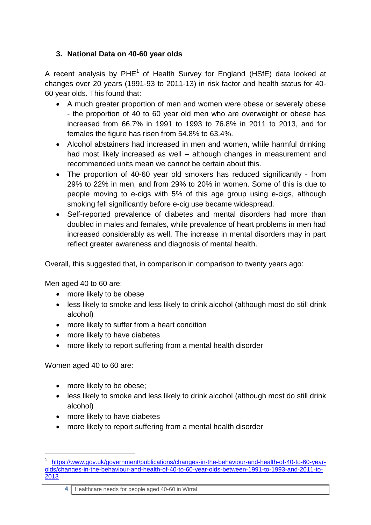## **3. National Data on 40-60 year olds**

A recent analysis by  $PHE^1$  of Health Survey for England (HSfE) data looked at changes over 20 years (1991-93 to 2011-13) in risk factor and health status for 40- 60 year olds. This found that:

- A much greater proportion of men and women were obese or severely obese - the proportion of 40 to 60 year old men who are overweight or obese has increased from 66.7% in 1991 to 1993 to 76.8% in 2011 to 2013, and for females the figure has risen from 54.8% to 63.4%.
- Alcohol abstainers had increased in men and women, while harmful drinking had most likely increased as well – although changes in measurement and recommended units mean we cannot be certain about this.
- The proportion of 40-60 year old smokers has reduced significantly from 29% to 22% in men, and from 29% to 20% in women. Some of this is due to people moving to e-cigs with 5% of this age group using e-cigs, although smoking fell significantly before e-cig use became widespread.
- Self-reported prevalence of diabetes and mental disorders had more than doubled in males and females, while prevalence of heart problems in men had increased considerably as well. The increase in mental disorders may in part reflect greater awareness and diagnosis of mental health.

Overall, this suggested that, in comparison in comparison to twenty years ago:

Men aged 40 to 60 are:

- more likely to be obese
- less likely to smoke and less likely to drink alcohol (although most do still drink alcohol)
- more likely to suffer from a heart condition
- more likely to have diabetes
- more likely to report suffering from a mental health disorder

Women aged 40 to 60 are:

- more likely to be obese:
- less likely to smoke and less likely to drink alcohol (although most do still drink alcohol)
- more likely to have diabetes
- more likely to report suffering from a mental health disorder

**4** Healthcare needs for people aged 40-60 in Wirral

<sup>1</sup> 1 [https://www.gov.uk/government/publications/changes-in-the-behaviour-and-health-of-40-to-60-year](https://www.gov.uk/government/publications/changes-in-the-behaviour-and-health-of-40-to-60-year-olds/changes-in-the-behaviour-and-health-of-40-to-60-year-olds-between-1991-to-1993-and-2011-to-2013)[olds/changes-in-the-behaviour-and-health-of-40-to-60-year-olds-between-1991-to-1993-and-2011-to-](https://www.gov.uk/government/publications/changes-in-the-behaviour-and-health-of-40-to-60-year-olds/changes-in-the-behaviour-and-health-of-40-to-60-year-olds-between-1991-to-1993-and-2011-to-2013)[2013](https://www.gov.uk/government/publications/changes-in-the-behaviour-and-health-of-40-to-60-year-olds/changes-in-the-behaviour-and-health-of-40-to-60-year-olds-between-1991-to-1993-and-2011-to-2013)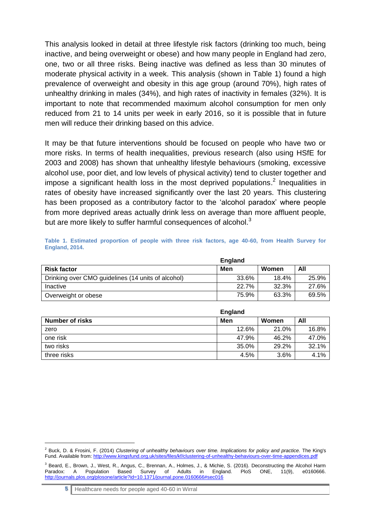This analysis looked in detail at three lifestyle risk factors (drinking too much, being inactive, and being overweight or obese) and how many people in England had zero, one, two or all three risks. Being inactive was defined as less than 30 minutes of moderate physical activity in a week. This analysis (shown in [Table 1\)](#page-4-0) found a high prevalence of overweight and obesity in this age group (around 70%), high rates of unhealthy drinking in males (34%), and high rates of inactivity in females (32%). It is important to note that recommended maximum alcohol consumption for men only reduced from 21 to 14 units per week in early 2016, so it is possible that in future men will reduce their drinking based on this advice.

It may be that future interventions should be focused on people who have two or more risks. In terms of health inequalities, previous research (also using HSfE for 2003 and 2008) has shown that unhealthy lifestyle behaviours (smoking, excessive alcohol use, poor diet, and low levels of physical activity) tend to cluster together and impose a significant health loss in the most deprived populations.<sup>2</sup> Inequalities in rates of obesity have increased significantly over the last 20 years. This clustering has been proposed as a contributory factor to the 'alcohol paradox' where people from more deprived areas actually drink less on average than more affluent people, but are more likely to suffer harmful consequences of alcohol.<sup>3</sup>

<span id="page-4-0"></span>

|                | Table 1. Estimated proportion of people with three risk factors, age 40-60, from Health Survey for |  |  |  |  |  |  |
|----------------|----------------------------------------------------------------------------------------------------|--|--|--|--|--|--|
| England, 2014. |                                                                                                    |  |  |  |  |  |  |

|                                                    | <b>England</b> |       |       |
|----------------------------------------------------|----------------|-------|-------|
| <b>Risk factor</b>                                 | Men            | Women | All   |
| Drinking over CMO guidelines (14 units of alcohol) | 33.6%          | 18.4% | 25.9% |
| Inactive                                           | 22.7%          | 32.3% | 27.6% |
| Overweight or obese                                | 75.9%          | 63.3% | 69.5% |

|                 | <b>England</b> |       |       |
|-----------------|----------------|-------|-------|
| Number of risks | Men            | Women | All   |
| zero            | 12.6%          | 21.0% | 16.8% |
| one risk        | 47.9%          | 46.2% | 47.0% |
| two risks       | 35.0%          | 29.2% | 32.1% |
| three risks     | 4.5%           | 3.6%  | 4.1%  |

**5** Healthcare needs for people aged 40-60 in Wirral

<sup>2</sup> Buck, D. & Frosini, F. (2014) *Clustering of unhealthy behaviours over time. Implications for policy and practice.* The King's Fund. Available from:<http://www.kingsfund.org.uk/sites/files/kf/clustering-of-unhealthy-behaviours-over-time-appendices.pdf>

<sup>&</sup>lt;sup>3</sup> Beard, E., Brown, J., West, R., Angus, C., Brennan, A., Holmes, J., & Michie, S. (2016). Deconstructing the Alcohol Harm Paradox: A Population Based Survey of Adults in England PloS ONE 11(9) e0160666 A Population Based Survey of Adults in England. PloS ONE, 11(9), <http://journals.plos.org/plosone/article?id=10.1371/journal.pone.0160666#sec016>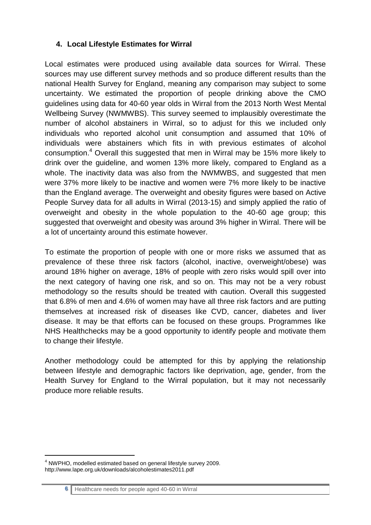#### **4. Local Lifestyle Estimates for Wirral**

Local estimates were produced using available data sources for Wirral. These sources may use different survey methods and so produce different results than the national Health Survey for England, meaning any comparison may subject to some uncertainty. We estimated the proportion of people drinking above the CMO guidelines using data for 40-60 year olds in Wirral from the 2013 North West Mental Wellbeing Survey (NWMWBS). This survey seemed to implausibly overestimate the number of alcohol abstainers in Wirral, so to adjust for this we included only individuals who reported alcohol unit consumption and assumed that 10% of individuals were abstainers which fits in with previous estimates of alcohol consumption. <sup>4</sup> Overall this suggested that men in Wirral may be 15% more likely to drink over the guideline, and women 13% more likely, compared to England as a whole. The inactivity data was also from the NWMWBS, and suggested that men were 37% more likely to be inactive and women were 7% more likely to be inactive than the England average. The overweight and obesity figures were based on Active People Survey data for all adults in Wirral (2013-15) and simply applied the ratio of overweight and obesity in the whole population to the 40-60 age group; this suggested that overweight and obesity was around 3% higher in Wirral. There will be a lot of uncertainty around this estimate however.

To estimate the proportion of people with one or more risks we assumed that as prevalence of these three risk factors (alcohol, inactive, overweight/obese) was around 18% higher on average, 18% of people with zero risks would spill over into the next category of having one risk, and so on. This may not be a very robust methodology so the results should be treated with caution. Overall this suggested that 6.8% of men and 4.6% of women may have all three risk factors and are putting themselves at increased risk of diseases like CVD, cancer, diabetes and liver disease. It may be that efforts can be focused on these groups. Programmes like NHS Healthchecks may be a good opportunity to identify people and motivate them to change their lifestyle.

Another methodology could be attempted for this by applying the relationship between lifestyle and demographic factors like deprivation, age, gender, from the Health Survey for England to the Wirral population, but it may not necessarily produce more reliable results.

<sup>4</sup> NWPHO, modelled estimated based on general lifestyle survey 2009. http://www.lape.org.uk/downloads/alcoholestimates2011.pdf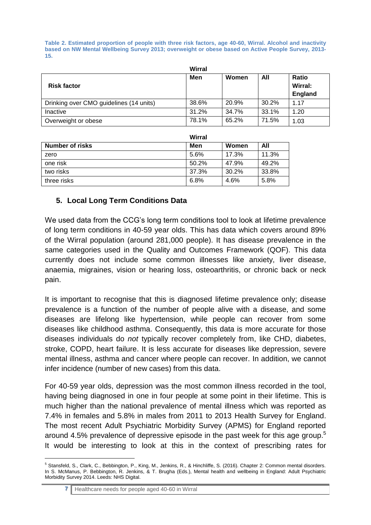<span id="page-6-0"></span>**Table 2. Estimated proportion of people with three risk factors, age 40-60, Wirral. Alcohol and inactivity based on NW Mental Wellbeing Survey 2013; overweight or obese based on Active People Survey, 2013- 15.**

|                                         | Wirral |       |       |                                    |
|-----------------------------------------|--------|-------|-------|------------------------------------|
| <b>Risk factor</b>                      | Men    | Women | All   | <b>Ratio</b><br>Wirral:<br>England |
| Drinking over CMO guidelines (14 units) | 38.6%  | 20.9% | 30.2% | 1.17                               |
| Inactive                                | 31.2%  | 34.7% | 33.1% | 1.20                               |
| Overweight or obese                     | 78.1%  | 65.2% | 71.5% | 1.03                               |

|                        | Wirral |       |       |
|------------------------|--------|-------|-------|
| <b>Number of risks</b> | Men    | Women | All   |
| zero                   | 5.6%   | 17.3% | 11.3% |
| one risk               | 50.2%  | 47.9% | 49.2% |
| two risks              | 37.3%  | 30.2% | 33.8% |
| three risks            | 6.8%   | 4.6%  | 5.8%  |

## **5. Local Long Term Conditions Data**

We used data from the CCG's long term conditions tool to look at lifetime prevalence of long term conditions in 40-59 year olds. This has data which covers around 89% of the Wirral population (around 281,000 people). It has disease prevalence in the same categories used in the Quality and Outcomes Framework (QOF). This data currently does not include some common illnesses like anxiety, liver disease, anaemia, migraines, vision or hearing loss, osteoarthritis, or chronic back or neck pain.

It is important to recognise that this is diagnosed lifetime prevalence only; disease prevalence is a function of the number of people alive with a disease, and some diseases are lifelong like hypertension, while people can recover from some diseases like childhood asthma. Consequently, this data is more accurate for those diseases individuals do *not* typically recover completely from, like CHD, diabetes, stroke, COPD, heart failure. It is less accurate for diseases like depression, severe mental illness, asthma and cancer where people can recover. In addition, we cannot infer incidence (number of new cases) from this data.

For 40-59 year olds, depression was the most common illness recorded in the tool, having being diagnosed in one in four people at some point in their lifetime. This is much higher than the national prevalence of mental illness which was reported as 7.4% in females and 5.8% in males from 2011 to 2013 Health Survey for England. The most recent Adult Psychiatric Morbidity Survey (APMS) for England reported around 4.5% prevalence of depressive episode in the past week for this age group.<sup>5</sup> It would be interesting to look at this in the context of prescribing rates for

<sup>5</sup> Stansfeld, S., Clark, C., Bebbington, P., King, M., Jenkins, R., & Hinchliffe, S. (2016). Chapter 2: Common mental disorders. In S. McManus, P. Bebbington, R. Jenkins, & T. Brugha (Eds.), Mental health and wellbeing in England: Adult Psychiatric Morbidity Survey 2014. Leeds: NHS Digital.

**<sup>7</sup>** Healthcare needs for people aged 40-60 in Wirral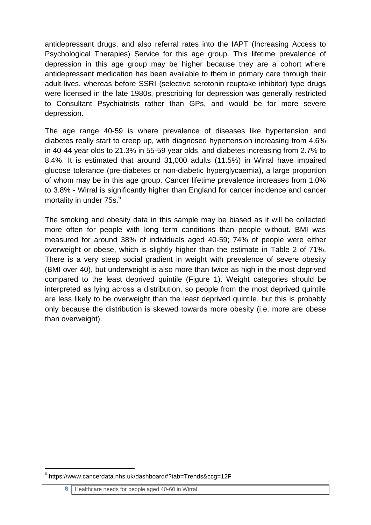antidepressant drugs, and also referral rates into the IAPT (Increasing Access to Psychological Therapies) Service for this age group. This lifetime prevalence of depression in this age group may be higher because they are a cohort where antidepressant medication has been available to them in primary care through their adult lives, whereas before SSRI (selective serotonin reuptake inhibitor) type drugs were licensed in the late 1980s, prescribing for depression was generally restricted to Consultant Psychiatrists rather than GPs, and would be for more severe depression.

The age range 40-59 is where prevalence of diseases like hypertension and diabetes really start to creep up, with diagnosed hypertension increasing from 4.6% in 40-44 year olds to 21.3% in 55-59 year olds, and diabetes increasing from 2.7% to 8.4%. It is estimated that around 31,000 adults (11.5%) in Wirral have impaired glucose tolerance (pre-diabetes or non-diabetic hyperglycaemia), a large proportion of whom may be in this age group. Cancer lifetime prevalence increases from 1.0% to 3.8% - Wirral is significantly higher than England for cancer incidence and cancer mortality in under 75s.<sup>6</sup>

The smoking and obesity data in this sample may be biased as it will be collected more often for people with long term conditions than people without. BMI was measured for around 38% of individuals aged 40-59; 74% of people were either overweight or obese, which is slightly higher than the estimate in [Table 2](#page-6-0) of 71%. There is a very steep social gradient in weight with prevalence of severe obesity (BMI over 40), but underweight is also more than twice as high in the most deprived compared to the least deprived quintile [\(Figure 1\)](#page-9-0). Weight categories should be interpreted as lying across a distribution, so people from the most deprived quintile are less likely to be overweight than the least deprived quintile, but this is probably only because the distribution is skewed towards more obesity (i.e. more are obese than overweight).

<u>.</u>

<sup>6</sup> https://www.cancerdata.nhs.uk/dashboard#?tab=Trends&ccg=12F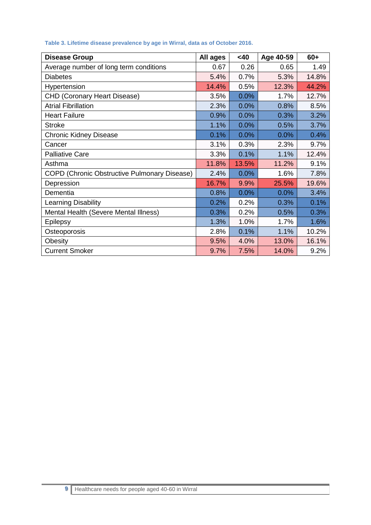| <b>Disease Group</b>                         | All ages | <40   | Age 40-59 | $60+$ |
|----------------------------------------------|----------|-------|-----------|-------|
| Average number of long term conditions       | 0.67     | 0.26  | 0.65      | 1.49  |
| <b>Diabetes</b>                              | 5.4%     | 0.7%  | 5.3%      | 14.8% |
| Hypertension                                 | 14.4%    | 0.5%  | 12.3%     | 44.2% |
| <b>CHD (Coronary Heart Disease)</b>          | 3.5%     | 0.0%  | 1.7%      | 12.7% |
| <b>Atrial Fibrillation</b>                   | 2.3%     | 0.0%  | 0.8%      | 8.5%  |
| <b>Heart Failure</b>                         | 0.9%     | 0.0%  | 0.3%      | 3.2%  |
| <b>Stroke</b>                                | 1.1%     | 0.0%  | 0.5%      | 3.7%  |
| <b>Chronic Kidney Disease</b>                | 0.1%     | 0.0%  | 0.0%      | 0.4%  |
| Cancer                                       | 3.1%     | 0.3%  | 2.3%      | 9.7%  |
| <b>Palliative Care</b>                       | 3.3%     | 0.1%  | 1.1%      | 12.4% |
| Asthma                                       | 11.8%    | 13.5% | 11.2%     | 9.1%  |
| COPD (Chronic Obstructive Pulmonary Disease) | 2.4%     | 0.0%  | 1.6%      | 7.8%  |
| Depression                                   | 16.7%    | 9.9%  | 25.5%     | 19.6% |
| Dementia                                     | 0.8%     | 0.0%  | 0.0%      | 3.4%  |
| Learning Disability                          | 0.2%     | 0.2%  | 0.3%      | 0.1%  |
| Mental Health (Severe Mental Illness)        | 0.3%     | 0.2%  | 0.5%      | 0.3%  |
| Epilepsy                                     | 1.3%     | 1.0%  | 1.7%      | 1.6%  |
| Osteoporosis                                 | 2.8%     | 0.1%  | 1.1%      | 10.2% |
| Obesity                                      | 9.5%     | 4.0%  | 13.0%     | 16.1% |
| <b>Current Smoker</b>                        | 9.7%     | 7.5%  | 14.0%     | 9.2%  |

#### **Table 3. Lifetime disease prevalence by age in Wirral, data as of October 2016.**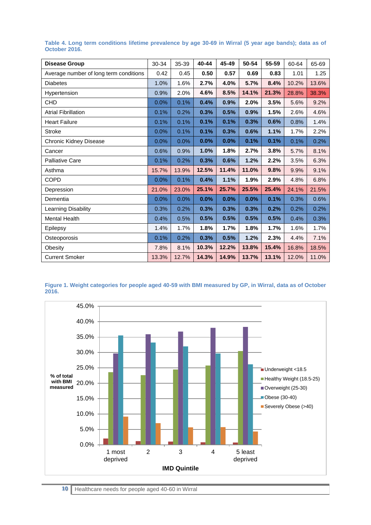| <b>Disease Group</b>                   | 30-34 | 35-39 | 40-44 | 45-49 | 50-54 | 55-59 | 60-64 | 65-69 |
|----------------------------------------|-------|-------|-------|-------|-------|-------|-------|-------|
| Average number of long term conditions | 0.42  | 0.45  | 0.50  | 0.57  | 0.69  | 0.83  | 1.01  | 1.25  |
| <b>Diabetes</b>                        | 1.0%  | 1.6%  | 2.7%  | 4.0%  | 5.7%  | 8.4%  | 10.2% | 13.6% |
| Hypertension                           | 0.9%  | 2.0%  | 4.6%  | 8.5%  | 14.1% | 21.3% | 28.8% | 38.3% |
| <b>CHD</b>                             | 0.0%  | 0.1%  | 0.4%  | 0.9%  | 2.0%  | 3.5%  | 5.6%  | 9.2%  |
| <b>Atrial Fibrillation</b>             | 0.1%  | 0.2%  | 0.3%  | 0.5%  | 0.9%  | 1.5%  | 2.6%  | 4.6%  |
| <b>Heart Failure</b>                   | 0.1%  | 0.1%  | 0.1%  | 0.1%  | 0.3%  | 0.6%  | 0.8%  | 1.4%  |
| Stroke                                 | 0.0%  | 0.1%  | 0.1%  | 0.3%  | 0.6%  | 1.1%  | 1.7%  | 2.2%  |
| Chronic Kidney Disease                 | 0.0%  | 0.0%  | 0.0%  | 0.0%  | 0.1%  | 0.1%  | 0.1%  | 0.2%  |
| Cancer                                 | 0.6%  | 0.9%  | 1.0%  | 1.8%  | 2.7%  | 3.8%  | 5.7%  | 8.1%  |
| <b>Palliative Care</b>                 | 0.1%  | 0.2%  | 0.3%  | 0.6%  | 1.2%  | 2.2%  | 3.5%  | 6.3%  |
| Asthma                                 | 15.7% | 13.9% | 12.5% | 11.4% | 11.0% | 9.8%  | 9.9%  | 9.1%  |
| <b>COPD</b>                            | 0.0%  | 0.1%  | 0.4%  | 1.1%  | 1.9%  | 2.9%  | 4.8%  | 6.8%  |
| Depression                             | 21.0% | 23.0% | 25.1% | 25.7% | 25.5% | 25.4% | 24.1% | 21.5% |
| Dementia                               | 0.0%  | 0.0%  | 0.0%  | 0.0%  | 0.0%  | 0.1%  | 0.3%  | 0.6%  |
| Learning Disability                    | 0.3%  | 0.2%  | 0.3%  | 0.3%  | 0.3%  | 0.2%  | 0.2%  | 0.2%  |
| <b>Mental Health</b>                   | 0.4%  | 0.5%  | 0.5%  | 0.5%  | 0.5%  | 0.5%  | 0.4%  | 0.3%  |
| Epilepsy                               | 1.4%  | 1.7%  | 1.8%  | 1.7%  | 1.8%  | 1.7%  | 1.6%  | 1.7%  |
| Osteoporosis                           | 0.1%  | 0.2%  | 0.3%  | 0.5%  | 1.2%  | 2.3%  | 4.4%  | 7.1%  |
| Obesity                                | 7.8%  | 8.1%  | 10.3% | 12.2% | 13.8% | 15.4% | 16.8% | 18.5% |
| <b>Current Smoker</b>                  | 13.3% | 12.7% | 14.3% | 14.9% | 13.7% | 13.1% | 12.0% | 11.0% |

**Table 4. Long term conditions lifetime prevalence by age 30-69 in Wirral (5 year age bands); data as of October 2016.**

<span id="page-9-0"></span>

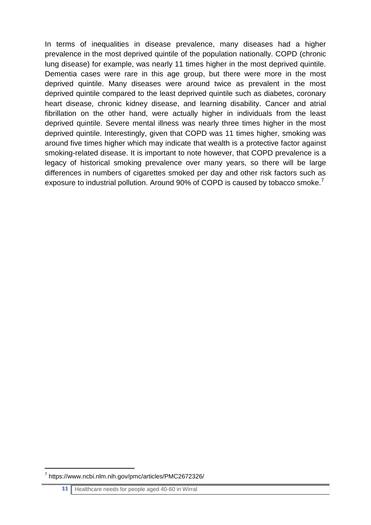In terms of inequalities in disease prevalence, many diseases had a higher prevalence in the most deprived quintile of the population nationally. COPD (chronic lung disease) for example, was nearly 11 times higher in the most deprived quintile. Dementia cases were rare in this age group, but there were more in the most deprived quintile. Many diseases were around twice as prevalent in the most deprived quintile compared to the least deprived quintile such as diabetes, coronary heart disease, chronic kidney disease, and learning disability. Cancer and atrial fibrillation on the other hand, were actually higher in individuals from the least deprived quintile. Severe mental illness was nearly three times higher in the most deprived quintile. Interestingly, given that COPD was 11 times higher, smoking was around five times higher which may indicate that wealth is a protective factor against smoking-related disease. It is important to note however, that COPD prevalence is a legacy of historical smoking prevalence over many years, so there will be large differences in numbers of cigarettes smoked per day and other risk factors such as exposure to industrial pollution. Around 90% of COPD is caused by tobacco smoke.<sup>7</sup>

<u>.</u>

<sup>7</sup> https://www.ncbi.nlm.nih.gov/pmc/articles/PMC2672326/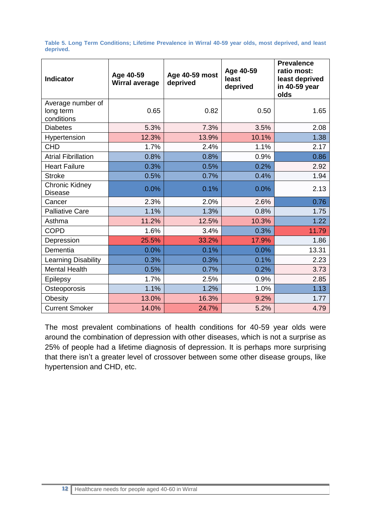**Table 5. Long Term Conditions; Lifetime Prevalence in Wirral 40-59 year olds, most deprived, and least deprived.**

| <b>Indicator</b>                             | Age 40-59<br><b>Wirral average</b> | Age 40-59 most<br>deprived | Age 40-59<br>least<br>deprived | <b>Prevalence</b><br>ratio most:<br>least deprived<br>in 40-59 year<br>olds |
|----------------------------------------------|------------------------------------|----------------------------|--------------------------------|-----------------------------------------------------------------------------|
| Average number of<br>long term<br>conditions | 0.65                               | 0.82                       | 0.50                           | 1.65                                                                        |
| <b>Diabetes</b>                              | 5.3%                               | 7.3%                       | 3.5%                           | 2.08                                                                        |
| Hypertension                                 | 12.3%                              | 13.9%                      | 10.1%                          | 1.38                                                                        |
| <b>CHD</b>                                   | 1.7%                               | 2.4%                       | 1.1%                           | 2.17                                                                        |
| <b>Atrial Fibrillation</b>                   | 0.8%                               | 0.8%                       | 0.9%                           | 0.86                                                                        |
| <b>Heart Failure</b>                         | 0.3%                               | 0.5%                       | 0.2%                           | 2.92                                                                        |
| <b>Stroke</b>                                | 0.5%                               | 0.7%                       | 0.4%                           | 1.94                                                                        |
| Chronic Kidney<br><b>Disease</b>             | 0.0%                               | 0.1%                       | 0.0%                           | 2.13                                                                        |
| Cancer                                       | 2.3%                               | 2.0%                       | 2.6%                           | 0.76                                                                        |
| <b>Palliative Care</b>                       | 1.1%                               | 1.3%                       | 0.8%                           | 1.75                                                                        |
| Asthma                                       | 11.2%                              | 12.5%                      | 10.3%                          | 1.22                                                                        |
| <b>COPD</b>                                  | 1.6%                               | 3.4%                       | 0.3%                           | 11.79                                                                       |
| Depression                                   | 25.5%                              | 33.2%                      | 17.9%                          | 1.86                                                                        |
| Dementia                                     | 0.0%                               | 0.1%                       | 0.0%                           | 13.31                                                                       |
| Learning Disability                          | 0.3%                               | 0.3%                       | 0.1%                           | 2.23                                                                        |
| <b>Mental Health</b>                         | 0.5%                               | 0.7%                       | 0.2%                           | 3.73                                                                        |
| Epilepsy                                     | 1.7%                               | 2.5%                       | 0.9%                           | 2.85                                                                        |
| Osteoporosis                                 | 1.1%                               | 1.2%                       | 1.0%                           | 1.13                                                                        |
| Obesity                                      | 13.0%                              | 16.3%                      | 9.2%                           | 1.77                                                                        |
| <b>Current Smoker</b>                        | 14.0%                              | 24.7%                      | 5.2%                           | 4.79                                                                        |

The most prevalent combinations of health conditions for 40-59 year olds were around the combination of depression with other diseases, which is not a surprise as 25% of people had a lifetime diagnosis of depression. It is perhaps more surprising that there isn't a greater level of crossover between some other disease groups, like hypertension and CHD, etc.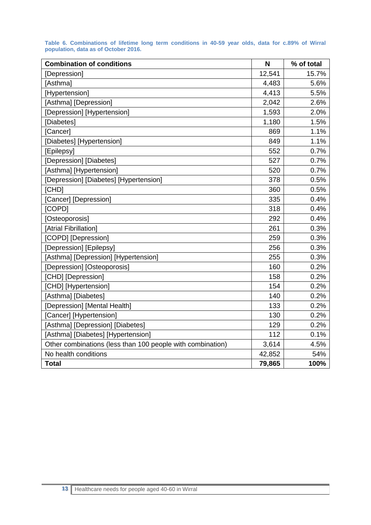| <b>Combination of conditions</b>                           | N      | % of total |
|------------------------------------------------------------|--------|------------|
| [Depression]                                               | 12,541 | 15.7%      |
| [Asthma]                                                   | 4,483  | 5.6%       |
| [Hypertension]                                             | 4,413  | 5.5%       |
| [Asthma] [Depression]                                      | 2,042  | 2.6%       |
| [Depression] [Hypertension]                                | 1,593  | 2.0%       |
| [Diabetes]                                                 | 1,180  | 1.5%       |
| [Cancer]                                                   | 869    | 1.1%       |
| [Diabetes] [Hypertension]                                  | 849    | 1.1%       |
| [Epilepsy]                                                 | 552    | 0.7%       |
| [Depression] [Diabetes]                                    | 527    | 0.7%       |
| [Asthma] [Hypertension]                                    | 520    | 0.7%       |
| [Depression] [Diabetes] [Hypertension]                     | 378    | 0.5%       |
| [CHD]                                                      | 360    | 0.5%       |
| [Cancer] [Depression]                                      | 335    | 0.4%       |
| [COPD]                                                     | 318    | 0.4%       |
| [Osteoporosis]                                             | 292    | 0.4%       |
| [Atrial Fibrillation]                                      | 261    | 0.3%       |
| [COPD] [Depression]                                        | 259    | 0.3%       |
| [Depression] [Epilepsy]                                    | 256    | 0.3%       |
| [Asthma] [Depression] [Hypertension]                       | 255    | 0.3%       |
| [Depression] [Osteoporosis]                                | 160    | 0.2%       |
| [CHD] [Depression]                                         | 158    | 0.2%       |
| [CHD] [Hypertension]                                       | 154    | 0.2%       |
| [Asthma] [Diabetes]                                        | 140    | 0.2%       |
| [Depression] [Mental Health]                               | 133    | 0.2%       |
| [Cancer] [Hypertension]                                    | 130    | 0.2%       |
| [Asthma] [Depression] [Diabetes]                           | 129    | 0.2%       |
| [Asthma] [Diabetes] [Hypertension]                         | 112    | 0.1%       |
| Other combinations (less than 100 people with combination) | 3,614  | 4.5%       |
| No health conditions                                       | 42,852 | 54%        |
| <b>Total</b>                                               | 79,865 | 100%       |

**Table 6. Combinations of lifetime long term conditions in 40-59 year olds, data for c.89% of Wirral population, data as of October 2016.**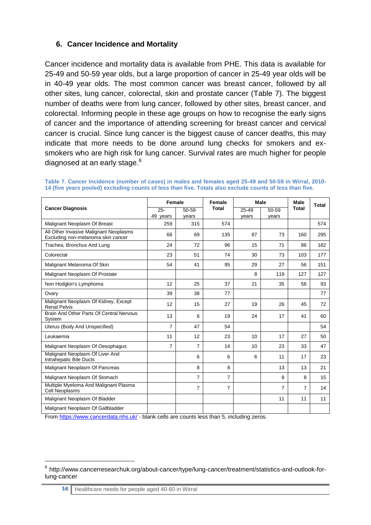## **6. Cancer Incidence and Mortality**

Cancer incidence and mortality data is available from PHE. This data is available for 25-49 and 50-59 year olds, but a large proportion of cancer in 25-49 year olds will be in 40-49 year olds. The most common cancer was breast cancer, followed by all other sites, lung cancer, colorectal, skin and prostate cancer [\(Table 7\)](#page-13-0). The biggest number of deaths were from lung cancer, followed by other sites, breast cancer, and colorectal. Informing people in these age groups on how to recognise the early signs of cancer and the importance of attending screening for breast cancer and cervical cancer is crucial. Since lung cancer is the biggest cause of cancer deaths, this may indicate that more needs to be done around lung checks for smokers and exsmokers who are high risk for lung cancer. Survival rates are much higher for people diagnosed at an early stage. $8<sup>8</sup>$ 

|                                                                              | Female          |                | Female         | Male  |       | <b>Male</b><br><b>Total</b> | Total |
|------------------------------------------------------------------------------|-----------------|----------------|----------------|-------|-------|-----------------------------|-------|
| <b>Cancer Diagnosis</b>                                                      | $25 -$<br>50-59 |                | <b>Total</b>   | 25-49 | 50-59 |                             |       |
|                                                                              | 49 years        | years          |                | years | years |                             |       |
| Malignant Neoplasm Of Breast                                                 | 259             | 315            | 574            |       |       |                             | 574   |
| All Other Invasive Malignant Neoplasms<br>Excluding non-melanoma skin cancer | 66              | 69             | 135            | 87    | 73    | 160                         | 295   |
| Trachea, Bronchus And Lung                                                   | 24              | 72             | 96             | 15    | 71    | 86                          | 182   |
| Colorectal                                                                   | 23              | 51             | 74             | 30    | 73    | 103                         | 177   |
| Malignant Melanoma Of Skin                                                   | 54              | 41             | 95             | 29    | 27    | 56                          | 151   |
| Malignant Neoplasm Of Prostate                                               |                 |                |                | 8     | 119   | 127                         | 127   |
| Non Hodgkin's Lymphoma                                                       | 12              | 25             | 37             | 21    | 35    | 56                          | 93    |
| Ovary                                                                        | 39              | 38             | 77             |       |       |                             | 77    |
| Malignant Neoplasm Of Kidney, Except<br><b>Renal Pelvis</b>                  | 12              | 15             | 27             | 19    | 26    | 45                          | 72    |
| Brain And Other Parts Of Central Nervous<br>System                           | 13              | 6              | 19             | 24    | 17    | 41                          | 60    |
| Uterus (Body And Unspecified)                                                | $\overline{7}$  | 47             | 54             |       |       |                             | 54    |
| Leukaemia                                                                    | 11              | 12             | 23             | 10    | 17    | 27                          | 50    |
| Malignant Neoplasm Of Oesophagus                                             | $\overline{7}$  | $\overline{7}$ | 14             | 10    | 23    | 33                          | 47    |
| Malignant Neoplasm Of Liver And<br>Intrahepatic Bile Ducts                   |                 | 6              | 6              | 6     | 11    | 17                          | 23    |
| Malignant Neoplasm Of Pancreas                                               |                 | 8              | 8              |       | 13    | 13                          | 21    |
| Malignant Neoplasm Of Stomach                                                |                 | $\overline{7}$ | $\overline{7}$ |       | 8     | 8                           | 15    |
| Multiple Myeloma And Malignant Plasma<br>Cell Neoplasms                      |                 | 7              | $\overline{7}$ |       | 7     | $\overline{7}$              | 14    |
| Malignant Neoplasm Of Bladder                                                |                 |                |                |       | 11    | 11                          | 11    |
| Malignant Neoplasm Of Gallbladder                                            |                 |                |                |       |       |                             |       |

<span id="page-13-0"></span>**Table 7. Cancer Incidence (number of cases) in males and females aged 25-49 and 50-59 in Wirral, 2010- 14 (five years pooled) excluding counts of less than five. Totals also exclude counts of less than five.**

Fro[m https://www.cancerdata.nhs.uk/](https://www.cancerdata.nhs.uk/) - blank cells are counts less than 5, including zeros.

<sup>&</sup>lt;sup>8</sup> http://www.cancerresearchuk.org/about-cancer/type/lung-cancer/treatment/statistics-and-outlook-forlung-cancer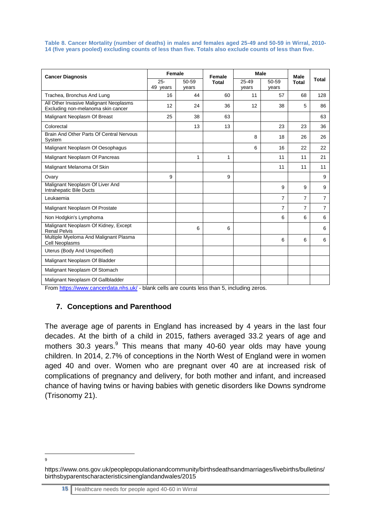**Table 8. Cancer Mortality (number of deaths) in males and females aged 25-49 and 50-59 in Wirral, 2010- 14 (five years pooled) excluding counts of less than five. Totals also exclude counts of less than five.**

| <b>Cancer Diagnosis</b>                                                        | Female             |                | Female       | <b>Male</b>    |                | <b>Male</b>    |                |
|--------------------------------------------------------------------------------|--------------------|----------------|--------------|----------------|----------------|----------------|----------------|
|                                                                                | $25 -$<br>49 years | 50-59<br>years | <b>Total</b> | 25-49<br>years | 50-59<br>years | <b>Total</b>   | <b>Total</b>   |
| Trachea, Bronchus And Lung                                                     | 16                 | 44             | 60           | 11             | 57             | 68             | 128            |
| All Other Invasive Malignant Neoplasms<br>Excluding non-melanoma skin cancer   | 12                 | 24             | 36           | 12             | 38             | 5              | 86             |
| Malignant Neoplasm Of Breast                                                   | 25                 | 38             | 63           |                |                |                | 63             |
| Colorectal                                                                     |                    | 13             | 13           |                | 23             | 23             | 36             |
| Brain And Other Parts Of Central Nervous<br>System                             |                    |                |              | 8              | 18             | 26             | 26             |
| Malignant Neoplasm Of Oesophagus                                               |                    |                |              | 6              | 16             | 22             | 22             |
| Malignant Neoplasm Of Pancreas                                                 |                    | 1              | 1            |                | 11             | 11             | 21             |
| Malignant Melanoma Of Skin                                                     |                    |                |              |                | 11             | 11             | 11             |
| Ovary                                                                          | 9                  |                | 9            |                |                |                | 9              |
| Malignant Neoplasm Of Liver And<br>Intrahepatic Bile Ducts                     |                    |                |              |                | 9              | 9              | 9              |
| Leukaemia                                                                      |                    |                |              |                | $\overline{7}$ | $\overline{7}$ | $\overline{7}$ |
| Malignant Neoplasm Of Prostate                                                 |                    |                |              |                | $\overline{7}$ | $\overline{7}$ | $\overline{7}$ |
| Non Hodgkin's Lymphoma                                                         |                    |                |              |                | 6              | 6              | 6              |
| Malignant Neoplasm Of Kidney, Except<br><b>Renal Pelvis</b>                    |                    | 6              | 6            |                |                |                | 6              |
| Multiple Myeloma And Malignant Plasma<br>Cell Neoplasms                        |                    |                |              |                | 6              | 6              | 6              |
| Uterus (Body And Unspecified)                                                  |                    |                |              |                |                |                |                |
| Malignant Neoplasm Of Bladder                                                  |                    |                |              |                |                |                |                |
| Malignant Neoplasm Of Stomach                                                  |                    |                |              |                |                |                |                |
| Malignant Neoplasm Of Gallbladder<br>$\cdots$<br>$\mathbf{r}$ and $\mathbf{r}$ |                    |                | $ -$         | - 11           |                |                |                |

Fro[m https://www.cancerdata.nhs.uk/](https://www.cancerdata.nhs.uk/) - blank cells are counts less than 5, including zeros.

#### **7. Conceptions and Parenthood**

The average age of parents in England has increased by 4 years in the last four decades. At the birth of a child in 2015, fathers averaged 33.2 years of age and mothers 30.3 years.<sup>9</sup> This means that many 40-60 year olds may have young children. In 2014, 2.7% of conceptions in the North West of England were in women aged 40 and over. Women who are pregnant over 40 are at increased risk of complications of pregnancy and delivery, for both mother and infant, and increased chance of having twins or having babies with genetic disorders like Downs syndrome (Trisonomy 21).

https://www.ons.gov.uk/peoplepopulationandcommunity/birthsdeathsandmarriages/livebirths/bulletins/ birthsbyparentscharacteristicsinenglandandwales/2015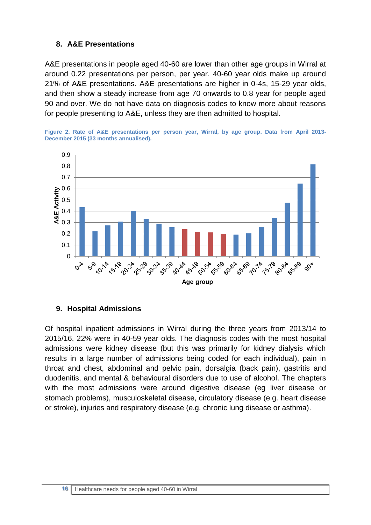## **8. A&E Presentations**

A&E presentations in people aged 40-60 are lower than other age groups in Wirral at around 0.22 presentations per person, per year. 40-60 year olds make up around 21% of A&E presentations. A&E presentations are higher in 0-4s, 15-29 year olds, and then show a steady increase from age 70 onwards to 0.8 year for people aged 90 and over. We do not have data on diagnosis codes to know more about reasons for people presenting to A&E, unless they are then admitted to hospital.





#### **9. Hospital Admissions**

Of hospital inpatient admissions in Wirral during the three years from 2013/14 to 2015/16, 22% were in 40-59 year olds. The diagnosis codes with the most hospital admissions were kidney disease (but this was primarily for kidney dialysis which results in a large number of admissions being coded for each individual), pain in throat and chest, abdominal and pelvic pain, dorsalgia (back pain), gastritis and duodenitis, and mental & behavioural disorders due to use of alcohol. The chapters with the most admissions were around digestive disease (eg liver disease or stomach problems), musculoskeletal disease, circulatory disease (e.g. heart disease or stroke), injuries and respiratory disease (e.g. chronic lung disease or asthma).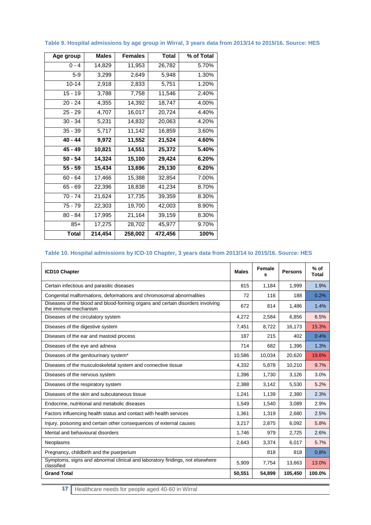| Age group | <b>Males</b> | <b>Females</b> | <b>Total</b> | % of Total |
|-----------|--------------|----------------|--------------|------------|
| $0 - 4$   | 14,829       | 11,953         | 26,782       | 5.70%      |
| $5-9$     | 3,299        | 2,649          | 5,948        | 1.30%      |
| $10 - 14$ | 2,918        | 2,833          | 5,751        | 1.20%      |
| $15 - 19$ | 3,788        | 7,758          | 11,546       | 2.40%      |
| $20 - 24$ | 4,355        | 14,392         | 18,747       | 4.00%      |
| $25 - 29$ | 4,707        | 16,017         | 20,724       | 4.40%      |
| $30 - 34$ | 5,231        | 14,832         | 20,063       | 4.20%      |
| $35 - 39$ | 5,717        | 11,142         | 16,859       | 3.60%      |
| 40 - 44   | 9,972        | 11,552         | 21,524       | 4.60%      |
| 45 - 49   | 10,821       | 14,551         | 25,372       | 5.40%      |
| $50 - 54$ | 14,324       | 15,100         | 29,424       | 6.20%      |
| $55 - 59$ | 15,434       | 13,696         | 29,130       | 6.20%      |
| 60 - 64   | 17,466       | 15,388         | 32,854       | 7.00%      |
| 65 - 69   | 22,396       | 18,838         | 41,234       | 8.70%      |
| 70 - 74   | 21,624       | 17,735         | 39,359       | 8.30%      |
| 75 - 79   | 22,303       | 19,700         | 42,003       | 8.90%      |
| 80 - 84   | 17,995       | 21,164         | 39,159       | 8.30%      |
| $85+$     | 17,275       | 28,702         | 45,977       | 9.70%      |
| Total     | 214,454      | 258,002        | 472,456      | 100%       |

#### **Table 9. Hospital admissions by age group in Wirral, 3 years data from 2013/14 to 2015/16. Source: HES**

#### **Table 10. Hospital admissions by ICD-10 Chapter, 3 years data from 2013/14 to 2015/16. Source: HES**

| <b>ICD10 Chapter</b>                                                                                   | <b>Males</b> | Female<br>s | <b>Persons</b> | $%$ of<br><b>Total</b> |
|--------------------------------------------------------------------------------------------------------|--------------|-------------|----------------|------------------------|
| Certain infectious and parasitic diseases                                                              | 815          | 1,184       | 1,999          | 1.9%                   |
| Congenital malformations, deformations and chromosomal abnormalities                                   | 72           | 116         | 188            | 0.2%                   |
| Diseases of the blood and blood-forming organs and certain disorders involving<br>the immune mechanism | 672          | 814         | 1,486          | 1.4%                   |
| Diseases of the circulatory system                                                                     | 4,272        | 2,584       | 6,856          | 6.5%                   |
| Diseases of the digestive system                                                                       | 7.451        | 8,722       | 16.173         | 15.3%                  |
| Diseases of the ear and mastoid process                                                                | 187          | 215         | 402            | 0.4%                   |
| Diseases of the eye and adnexa                                                                         | 714          | 682         | 1,396          | 1.3%                   |
| Diseases of the genitourinary system*                                                                  | 10,586       | 10,034      | 20,620         | 19.6%                  |
| Diseases of the musculoskeletal system and connective tissue                                           | 4,332        | 5,878       | 10,210         | 9.7%                   |
| Diseases of the nervous system                                                                         | 1,396        | 1,730       | 3,126          | 3.0%                   |
| Diseases of the respiratory system                                                                     | 2,388        | 3,142       | 5,530          | 5.2%                   |
| Diseases of the skin and subcutaneous tissue                                                           | 1,241        | 1,139       | 2,380          | 2.3%                   |
| Endocrine, nutritional and metabolic diseases                                                          | 1,549        | 1,540       | 3,089          | 2.9%                   |
| Factors influencing health status and contact with health services                                     | 1,361        | 1,319       | 2,680          | 2.5%                   |
| Injury, poisoning and certain other consequences of external causes                                    | 3,217        | 2,875       | 6,092          | 5.8%                   |
| Mental and behavioural disorders                                                                       | 1.746        | 979         | 2.725          | 2.6%                   |
| Neoplasms                                                                                              | 2,643        | 3,374       | 6,017          | 5.7%                   |
| Pregnancy, childbirth and the puerperium                                                               |              | 818         | 818            | 0.8%                   |
| Symptoms, signs and abnormal clinical and laboratory findings, not elsewhere<br>classified             | 5,909        | 7,754       | 13,663         | 13.0%                  |
| <b>Grand Total</b>                                                                                     | 50,551       | 54,899      | 105,450        | 100.0%                 |

**17** Healthcare needs for people aged 40-60 in Wirral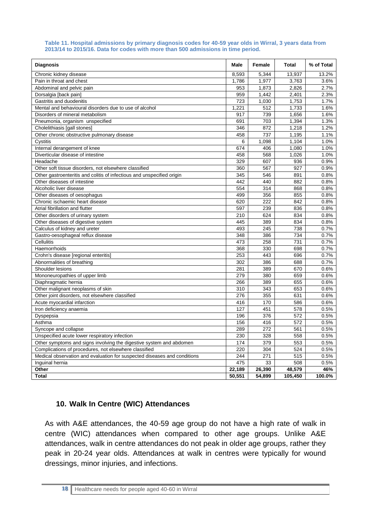#### **Table 11. Hospital admissions by primary diagnosis codes for 40-59 year olds in Wirral, 3 years data from 2013/14 to 2015/16. Data for codes with more than 500 admissions in time period.**

| <b>Diagnosis</b>                                                         | Male   | Female | <b>Total</b> | % of Total |
|--------------------------------------------------------------------------|--------|--------|--------------|------------|
| Chronic kidney disease                                                   | 8,593  | 5,344  | 13,937       | 13.2%      |
| Pain in throat and chest                                                 | 1,786  | 1,977  | 3,763        | 3.6%       |
| Abdominal and pelvic pain                                                | 953    | 1,873  | 2,826        | 2.7%       |
| Dorsalgia [back pain]                                                    | 959    | 1,442  | 2,401        | 2.3%       |
| Gastritis and duodenitis                                                 | 723    | 1,030  | 1,753        | 1.7%       |
| Mental and behavioural disorders due to use of alcohol                   | 1.221  | 512    | 1,733        | 1.6%       |
| Disorders of mineral metabolism                                          | 917    | 739    | 1,656        | 1.6%       |
| Pneumonia, organism unspecified                                          | 691    | 703    | 1,394        | 1.3%       |
| Cholelithiasis [gall stones]                                             | 346    | 872    | 1,218        | 1.2%       |
| Other chronic obstructive pulmonary disease                              | 458    | 737    | 1,195        | 1.1%       |
| Cystitis                                                                 | 6      | 1,098  | 1,104        | 1.0%       |
| Internal derangement of knee                                             | 674    | 406    | 1,080        | 1.0%       |
| Diverticular disease of intestine                                        | 458    | 568    | 1,026        | 1.0%       |
| Headache                                                                 | 329    | 607    | 936          | 0.9%       |
| Other soft tissue disorders, not elsewhere classified                    | 360    | 567    | 927          | 0.9%       |
| Other gastroenteritis and colitis of infectious and unspecified origin   | 345    | 546    | 891          | 0.8%       |
| Other diseases of intestine                                              | 442    | 440    | 882          | 0.8%       |
| Alcoholic liver disease                                                  | 554    | 314    | 868          | 0.8%       |
| Other diseases of oesophagus                                             | 499    | 356    | 855          | 0.8%       |
| Chronic ischaemic heart disease                                          | 620    | 222    | 842          | 0.8%       |
| Atrial fibrillation and flutter                                          | 597    | 239    | 836          | 0.8%       |
| Other disorders of urinary system                                        | 210    | 624    | 834          | 0.8%       |
| Other diseases of digestive system                                       | 445    | 389    | 834          | 0.8%       |
| Calculus of kidney and ureter                                            | 493    | 245    | 738          | 0.7%       |
| Gastro-oesophageal reflux disease                                        | 348    | 386    | 734          | 0.7%       |
| Cellulitis                                                               | 473    | 258    | 731          | 0.7%       |
| Haemorrhoids                                                             | 368    | 330    | 698          | 0.7%       |
| Crohn's disease [regional enteritis]                                     | 253    | 443    | 696          | 0.7%       |
| Abnormalities of breathing                                               | 302    | 386    | 688          | 0.7%       |
| Shoulder lesions                                                         | 281    | 389    | 670          | 0.6%       |
| Mononeuropathies of upper limb                                           | 279    | 380    | 659          | 0.6%       |
| Diaphragmatic hernia                                                     | 266    | 389    | 655          | 0.6%       |
| Other malignant neoplasms of skin                                        | 310    | 343    | 653          | 0.6%       |
| Other joint disorders, not elsewhere classified                          | 276    | 355    | 631          | 0.6%       |
| Acute myocardial infarction                                              | 416    | 170    | 586          | 0.6%       |
| Iron deficiency anaemia                                                  | 127    | 451    | 578          | 0.5%       |
| Dyspepsia                                                                | 196    | 376    | 572          | 0.5%       |
| Asthma                                                                   | 156    | 416    | 572          | 0.5%       |
| Syncope and collapse                                                     | 289    | 272    | 561          | 0.5%       |
| Unspecified acute lower respiratory infection                            | 230    | 328    | 558          | 0.5%       |
| Other symptoms and signs involving the digestive system and abdomen      | 174    | 379    | 553          | 0.5%       |
| Complications of procedures, not elsewhere classified                    | 220    | 304    | 524          | 0.5%       |
| Medical observation and evaluation for suspected diseases and conditions | 244    | 271    | 515          | 0.5%       |
| Inquinal hernia                                                          | 475    | 33     | 508          | 0.5%       |
| Other                                                                    | 22,189 | 26,390 | 48,579       | 46%        |
| <b>Total</b>                                                             | 50,551 | 54,899 | 105,450      | 100.0%     |

## **10. Walk In Centre (WIC) Attendances**

As with A&E attendances, the 40-59 age group do not have a high rate of walk in centre (WIC) attendances when compared to other age groups. Unlike A&E attendances, walk in centre attendances do not peak in older age groups, rather they peak in 20-24 year olds. Attendances at walk in centres were typically for wound dressings, minor injuries, and infections.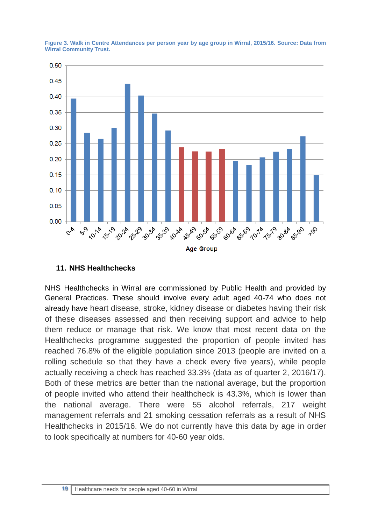

**Figure 3. Walk in Centre Attendances per person year by age group in Wirral, 2015/16. Source: Data from Wirral Community Trust.** 

## **11. NHS Healthchecks**

NHS Healthchecks in Wirral are commissioned by Public Health and provided by General Practices. These should involve every adult aged 40-74 who does not already have heart disease, stroke, kidney disease or diabetes having their risk of these diseases assessed and then receiving support and advice to help them reduce or manage that risk. We know that most recent data on the Healthchecks programme suggested the proportion of people invited has reached 76.8% of the eligible population since 2013 (people are invited on a rolling schedule so that they have a check every five years), while people actually receiving a check has reached 33.3% (data as of quarter 2, 2016/17). Both of these metrics are better than the national average, but the proportion of people invited who attend their healthcheck is 43.3%, which is lower than the national average. There were 55 alcohol referrals, 217 weight management referrals and 21 smoking cessation referrals as a result of NHS Healthchecks in 2015/16. We do not currently have this data by age in order to look specifically at numbers for 40-60 year olds.